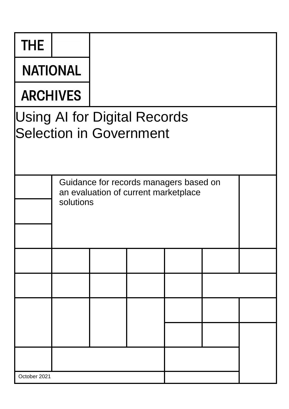| THE             |                                                                                             |  |  |  |  |  |  |  |
|-----------------|---------------------------------------------------------------------------------------------|--|--|--|--|--|--|--|
| <b>NATIONAL</b> |                                                                                             |  |  |  |  |  |  |  |
| <b>ARCHIVES</b> |                                                                                             |  |  |  |  |  |  |  |
|                 | <b>Using AI for Digital Records</b><br><b>Selection in Government</b>                       |  |  |  |  |  |  |  |
|                 | Guidance for records managers based on<br>an evaluation of current marketplace<br>solutions |  |  |  |  |  |  |  |
|                 |                                                                                             |  |  |  |  |  |  |  |
|                 |                                                                                             |  |  |  |  |  |  |  |
|                 |                                                                                             |  |  |  |  |  |  |  |
|                 |                                                                                             |  |  |  |  |  |  |  |
|                 |                                                                                             |  |  |  |  |  |  |  |
| October 2021    |                                                                                             |  |  |  |  |  |  |  |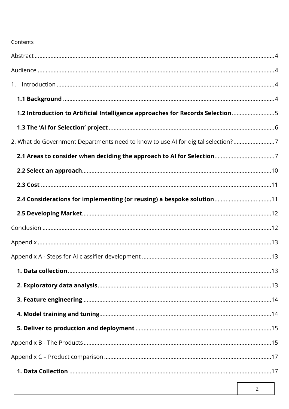### Contents

| 1.2 Introduction to Artificial Intelligence approaches for Records Selection5    |  |
|----------------------------------------------------------------------------------|--|
|                                                                                  |  |
| 2. What do Government Departments need to know to use AI for digital selection?7 |  |
|                                                                                  |  |
|                                                                                  |  |
|                                                                                  |  |
| 2.4 Considerations for implementing (or reusing) a bespoke solution11            |  |
|                                                                                  |  |
|                                                                                  |  |
|                                                                                  |  |
|                                                                                  |  |
|                                                                                  |  |
|                                                                                  |  |
|                                                                                  |  |
|                                                                                  |  |
|                                                                                  |  |
|                                                                                  |  |
|                                                                                  |  |
|                                                                                  |  |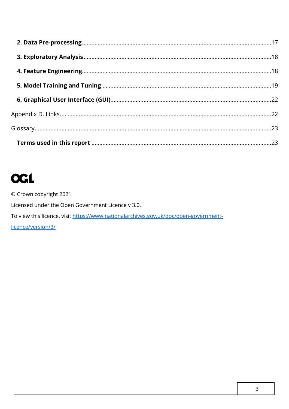# **OGL**

© Crown copyright 2021 Licensed under the Open Government Licence v 3.0. To view this licence, visit https://www.nationalarchives.gov.uk/doc/open-governmentlicence/version/3/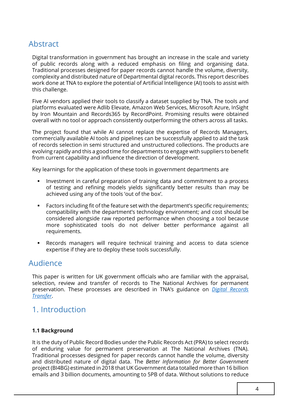## Abstract

 Traditional processes designed for paper records cannot handle the volume, diversity, Digital transformation in government has brought an increase in the scale and variety of public records along with a reduced emphasis on filing and organising data. complexity and distributed nature of Departmental digital records. This report describes work done at TNA to explore the potential of Artificial Intelligence (AI) tools to assist with this challenge.

Five AI vendors applied their tools to classify a dataset supplied by TNA. The tools and platforms evaluated were Adlib Elevate, Amazon Web Services, Microsoft Azure, InSight by Iron Mountain and Records365 by RecordPoint. Promising results were obtained overall with no tool or approach consistently outperforming the others across all tasks.

 The project found that while AI cannot replace the expertise of Records Managers, commercially available AI tools and pipelines can be successfully applied to aid the task of records selection in semi structured and unstructured collections. The products are evolving rapidly and this a good time for departments to engage with suppliers to benefit from current capability and influence the direction of development.

Key learnings for the application of these tools in government departments are

- **■** Investment in careful preparation of training data and commitment to a process of testing and refining models yields significantly better results than may be achieved using any of the tools 'out of the box'.
- Factors including fit of the feature set with the department's specific requirements; compatibility with the department's technology environment; and cost should be considered alongside raw reported performance when choosing a tool because more sophisticated tools do not deliver better performance against all requirements.
- ▪ Records managers will require technical training and access to data science expertise if they are to deploy these tools successfully.

### Audience

 preservation. These processes are described in TNA's guidance on *[Digital Records](https://www.nationalarchives.gov.uk/information-management/manage-information/digital-records-transfer/)*  This paper is written for UK government officials who are familiar with the appraisal, selection, review and transfer of records to The National Archives for permanent *[Transfer](https://www.nationalarchives.gov.uk/information-management/manage-information/digital-records-transfer/)*.

### 1. Introduction

#### **1.1 Background**

 project (BI4BG) estimated in 2018 that UK Government data totalled more than 16 billion It is the duty of Public Record Bodies under the Public Records Act (PRA) to select records of enduring value for permanent preservation at The National Archives (TNA). Traditional processes designed for paper records cannot handle the volume, diversity and distributed nature of digital data. The *Better Information for Better Government*  emails and 3 billion documents, amounting to 5PB of data. Without solutions to reduce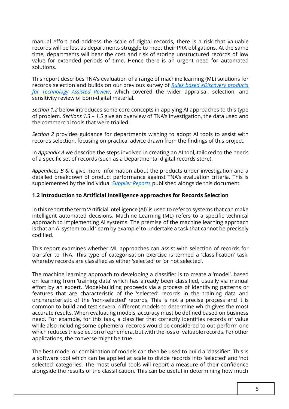records will be lost as departments struggle to meet their PRA obligations. At the same time, departments will bear the cost and risk of storing unstructured records of low manual effort and address the scale of digital records, there is a risk that valuable value for extended periods of time. Hence there is an urgent need for automated solutions.

 This report describes TNA's evaluation of a range of machine learning (ML) solutions for  records selection and builds on our previous survey of *[Rules based eDiscovery products](https://www.nationalarchives.gov.uk/documents/technology-assisted-review-to-born-digital-records-transfer.pdf)  [for Technology Assisted Review](https://www.nationalarchives.gov.uk/documents/technology-assisted-review-to-born-digital-records-transfer.pdf)*, which covered the wider appraisal, selection, and sensitivity review of born-digital material.

 *Section 1.2* below introduces some core concepts in applying AI approaches to this type  of problem. *Sections 1.3 – 1.5* give an overview of TNA's investigation, the data used and the commercial tools that were trialled.

 *Section 2* provides guidance for departments wishing to adopt AI tools to assist with records selection, focusing on practical advice drawn from the findings of this project.

 In *Appendix A* we describe the steps involved in creating an AI tool, tailored to the needs of a specific set of records (such as a Departmental digital records store).

 *Appendices B & C* give more information about the products under investigation and a detailed breakdown of product performance against TNA's evaluation criteria. This is supplemented by the individual *[Supplier Reports](http://nationalarchives.gov.uk/information-management/manage-information/preserving-digital-records/research-collaboration/using-ai-for-digital-selection-in-government)* published alongside this document.

#### **1.2 Introduction to Artificial Intelligence approaches for Records Selection**

 In this report the term 'Artificial intelligence (AI)' is used to refer to systems that can make approach to implementing AI systems. The premise of the machine learning approach is that an AI system could 'learn by example' to undertake a task that cannot be precisely intelligent automated decisions. Machine Learning (ML) refers to a specific technical codified.

 transfer to TNA. This type of categorisation exercise is termed a 'classification' task, This report examines whether ML approaches can assist with selection of records for whereby records are classified as either 'selected' or 'or not selected'.

 The machine learning approach to developing a classifier is to create a 'model', based on learning from 'training data' which has already been classified, usually via manual effort by an expert. Model-building proceeds via a process of identifying patterns or features that are characteristic of the 'selected' records in the training data and uncharacteristic of the 'non-selected' records. This is not a precise process and it is common to build and test several different models to determine which gives the most accurate results. When evaluating models, accuracy must be defined based on business need. For example, for this task, a classifier that correctly identifies records of value while also including some ephemeral records would be considered to out-perform one which reduces the selection of ephemera, but with the loss of valuable records. For other applications, the converse might be true.

 The best model or combination of models can then be used to build a 'classifier'. This is a software tool which can be applied at scale to divide records into 'selected' and 'not selected' categories. The most useful tools will report a measure of their confidence alongside the results of the classification. This can be useful in determining how much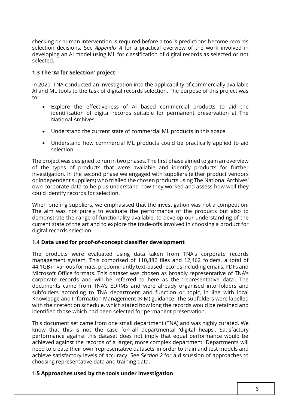checking or human intervention is required before a tool's predictions become records selection decisions. See *Appendix A* for a practical overview of the work involved in developing an AI model using ML for classification of digital records as selected or not selected.

#### **1.3 The 'AI for Selection' project**

 In 2020, TNA conducted an investigation into the applicability of commercially available AI and ML tools to the task of digital records selection. The purpose of this project was to:

- Explore the effectiveness of AI based commercial products to aid the identification of digital records suitable for permanent preservation at The National Archives.
- Understand the current state of commercial ML products in this space.
- Understand how commercial ML products could be practically applied to aid selection.

The project was designed to run in two phases. The first phase aimed to gain an overview of the types of products that were available and identify products for further investigation. In the second phase we engaged with suppliers (either product vendors or independent suppliers) who trialled the chosen products using The National Archives' own corporate data to help us understand how they worked and assess how well they could identify records for selection.

When briefing suppliers, we emphasised that the investigation was not a competition. The aim was not purely to evaluate the performance of the products but also to demonstrate the range of functionality available, to develop our understanding of the current state of the art and to explore the trade-offs involved in choosing a product for digital records selection.

#### **1.4 Data used for proof-of-concept classifier development**

The products were evaluated using data taken from TNA's corporate records management system. This comprised of 110,882 files and 12,462 folders, a total of 44.1GB in various formats, predominantly text-based records including emails, PDFs and Microsoft Office formats. This dataset was chosen as broadly representative of TNA's corporate records and will be referred to here as the 'representative data'. The documents came from TNA's EDRMS and were already organised into folders and subfolders according to TNA department and function or topic, in line with local Knowledge and Information Management (KIM) guidance. The subfolders were labelled with their retention schedule, which stated how long the records would be retained and identified those which had been selected for permanent preservation.

 This document set came from one small department (TNA) and was highly curated. We know that this is not the case for all departmental 'digital heaps'. Satisfactory performance against this dataset does not imply that equal performance would be achieved against the records of a larger, more complex department. Departments will need to create their own 'representative datasets' in order to train and test models and achieve satisfactory levels of accuracy. See S*ection 2* for a discussion of approaches to choosing representative data and training data.

#### **1.5 Approaches used by the tools under investigation**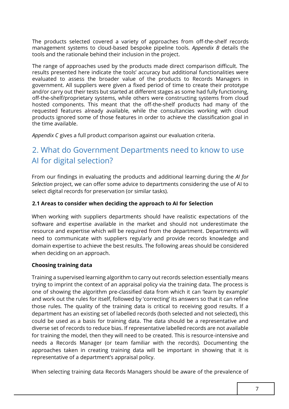The products selected covered a variety of approaches from off-the-shelf records management systems to cloud-based bespoke pipeline tools. *Appendix B* details the tools and the rationale behind their inclusion in the project.

 The range of approaches used by the products made direct comparison difficult. The results presented here indicate the tools' accuracy but additional functionalities were evaluated to assess the broader value of the products to Records Managers in government. All suppliers were given a fixed period of time to create their prototype and/or carry out their tests but started at different stages as some had fully functioning, off-the-shelf/proprietary systems, while others were constructing systems from cloud hosted components. This meant that the off-the-shelf products had many of the requested features already available, while the consultancies working with cloud products ignored some of those features in order to achieve the classification goal in the time available.

*Appendix C* gives a full product comparison against our evaluation criteria.

# 2. What do Government Departments need to know to use AI for digital selection?

From our findings in evaluating the products and additional learning during the *AI for Selection* project, we can offer some advice to departments considering the use of AI to select digital records for preservation (or similar tasks).

#### **2.1 Areas to consider when deciding the approach to AI for Selection**

 software and expertise available in the market and should not underestimate the need to communicate with suppliers regularly and provide records knowledge and domain expertise to achieve the best results. The following areas should be considered When working with suppliers departments should have realistic expectations of the resource and expertise which will be required from the department. Departments will when deciding on an approach.

#### **Choosing training data**

 Training a supervised learning algorithm to carry out records selection essentially means trying to imprint the context of an appraisal policy via the training data. The process is one of showing the algorithm pre-classified data from which it can 'learn by example' and work out the rules for itself, followed by 'correcting' its answers so that it can refine those rules. The quality of the training data is critical to receiving good results. If a department has an existing set of labelled records (both selected and not selected), this could be used as a basis for training data. The data should be a representative and diverse set of records to reduce bias. If representative labelled records are not available for training the model, then they will need to be created. This is resource-intensive and needs a Records Manager (or team familiar with the records). Documenting the approaches taken in creating training data will be important in showing that it is representative of a department's appraisal policy.

When selecting training data Records Managers should be aware of the prevalence of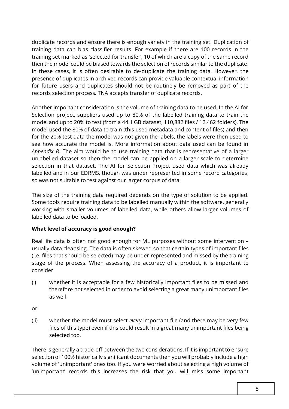duplicate records and ensure there is enough variety in the training set. Duplication of training data can bias classifier results. For example if there are 100 records in the training set marked as 'selected for transfer', 10 of which are a copy of the same record then the model could be biased towards the selection of records similar to the duplicate. In these cases, it is often desirable to de-duplicate the training data. However, the for future users and duplicates should not be routinely be removed as part of the records selection process. TNA accepts transfer of duplicate records. presence of duplicates in archived records can provide valuable contextual information

 Another important consideration is the volume of training data to be used. In the AI for Selection project, suppliers used up to 80% of the labelled training data to train the model and up to 20% to test (from a 44.1 GB dataset, 110,882 files / 12,462 folders). The model used the 80% of data to train (this used metadata and content of files) and then for the 20% test data the model was not given the labels, the labels were then used to see how accurate the model is. More information about data used can be found in *Appendix B*. The aim would be to use training data that is representative of a larger unlabelled dataset so then the model can be applied on a larger scale to determine selection in that dataset. The AI for Selection Project used data which was already labelled and in our EDRMS, though was under represented in some record categories, so was not suitable to test against our larger corpus of data.

 The size of the training data required depends on the type of solution to be applied. Some tools require training data to be labelled manually within the software, generally working with smaller volumes of labelled data, while others allow larger volumes of labelled data to be loaded.

#### **What level of accuracy is good enough?**

 usually data cleansing. The data is often skewed so that certain types of important files (i.e. files that should be selected) may be under-represented and missed by the training stage of the process. When assessing the accuracy of a product, it is important to Real life data is often not good enough for ML purposes without some intervention – consider

- therefore not selected in order to avoid selecting a great many unimportant files (i) whether it is acceptable for a few historically important files to be missed and as well
- or
- (ii) whether the model must select *every* important file (and there may be very few files of this type) even if this could result in a great many unimportant files being selected too.

 There is generally a trade-off between the two considerations. If it is important to ensure selection of 100% historically significant documents then you will probably include a high volume of 'unimportant' ones too. If you were worried about selecting a high volume of 'unimportant' records this increases the risk that you will miss some important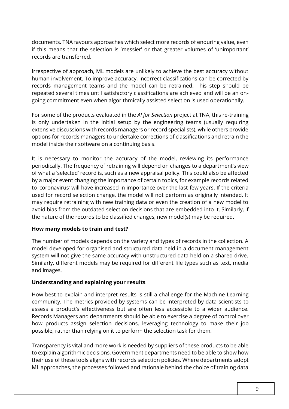documents. TNA favours approaches which select more records of enduring value, even if this means that the selection is 'messier' or that greater volumes of 'unimportant' records are transferred.

 Irrespective of approach, ML models are unlikely to achieve the best accuracy without human involvement. To improve accuracy, incorrect classifications can be corrected by repeated several times until satisfactory classifications are achieved and will be an onrecords management teams and the model can be retrained. This step should be going commitment even when algorithmically assisted selection is used operationally.

 For some of the products evaluated in the *AI for Selection* project at TNA, this re-training is only undertaken in the initial setup by the engineering teams (usually requiring extensive discussions with records managers or record specialists), while others provide options for records managers to undertake corrections of classifications and retrain the model inside their software on a continuing basis.

 periodically. The frequency of retraining will depend on changes to a department's view of what a 'selected' record is, such as a new appraisal policy. This could also be affected by a major event changing the importance of certain topics, for example records related to 'coronavirus' will have increased in importance over the last few years. If the criteria used for record selection change, the model will not perform as originally intended. It may require retraining with new training data or even the creation of a new model to avoid bias from the outdated selection decisions that are embedded into it. Similarly, if the nature of the records to be classified changes, new model(s) may be required. It is necessary to monitor the accuracy of the model, reviewing its performance

#### **How many models to train and test?**

 The number of models depends on the variety and types of records in the collection. A model developed for organised and structured data held in a document management system will not give the same accuracy with unstructured data held on a shared drive. Similarly, different models may be required for different file types such as text, media and images.

#### **Understanding and explaining your results**

 Records Managers and departments should be able to exercise a degree of control over How best to explain and interpret results is still a challenge for the Machine Learning community. The metrics provided by systems can be interpreted by data scientists to assess a product's effectiveness but are often less accessible to a wider audience. how products assign selection decisions, leveraging technology to make their job possible, rather than relying on it to perform the selection task for them.

 Transparency is vital and more work is needed by suppliers of these products to be able to explain algorithmic decisions. Government departments need to be able to show how their use of these tools aligns with records selection policies. Where departments adopt ML approaches, the processes followed and rationale behind the choice of training data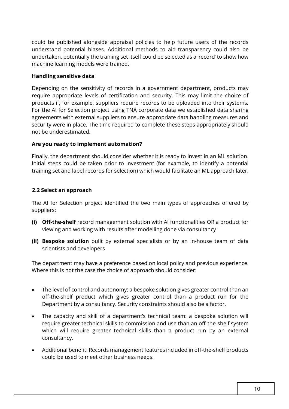could be published alongside appraisal policies to help future users of the records undertaken, potentially the training set itself could be selected as a 'record' to show how machine learning models were trained. understand potential biases. Additional methods to aid transparency could also be

#### **Handling sensitive data**

 Depending on the sensitivity of records in a government department, products may require appropriate levels of certification and security. This may limit the choice of products if, for example, suppliers require records to be uploaded into their systems. For the AI for Selection project using TNA corporate data we established data sharing agreements with external suppliers to ensure appropriate data handling measures and security were in place. The time required to complete these steps appropriately should not be underestimated.

#### **Are you ready to implement automation?**

 Initial steps could be taken prior to investment (for example, to identify a potential Finally, the department should consider whether it is ready to invest in an ML solution. training set and label records for selection) which would facilitate an ML approach later.

#### **2.2 Select an approach**

 The AI for Selection project identified the two main types of approaches offered by suppliers:

- **(i) Off-the-shelf** record management solution with AI functionalities OR a product for viewing and working with results after modelling done via consultancy
- **(ii) Bespoke solution** built by external specialists or by an in-house team of data scientists and developers

 The department may have a preference based on local policy and previous experience. Where this is not the case the choice of approach should consider:

- • The level of control and autonomy: a bespoke solution gives greater control than an off-the-shelf product which gives greater control than a product run for the Department by a consultancy. Security constraints should also be a factor.
- • The capacity and skill of a department's technical team: a bespoke solution will which will require greater technical skills than a product run by an external require greater technical skills to commission and use than an off-the-shelf system consultancy.
- • Additional benefit: Records management features included in off-the-shelf products could be used to meet other business needs.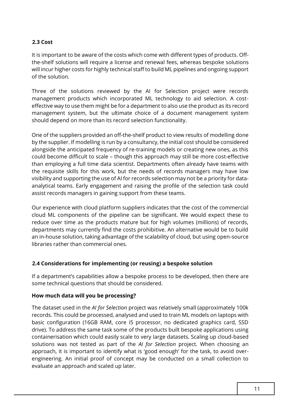#### **2.3 Cost**

 the-shelf solutions will require a license and renewal fees, whereas bespoke solutions It is important to be aware of the costs which come with different types of products. Offwill incur higher costs for highly technical staff to build ML pipelines and ongoing support of the solution.

 Three of the solutions reviewed by the AI for Selection project were records management products which incorporated ML technology to aid selection. A cost- effective way to use them might be for a department to also use the product as its record management system, but the ultimate choice of a document management system should depend on more than its record selection functionality.

 One of the suppliers provided an off-the-shelf product to view results of modelling done by the supplier. If modelling is run by a consultancy, the initial cost should be considered alongside the anticipated frequency of re-training models or creating new ones, as this could become difficult to scale – though this approach may still be more cost-effective than employing a full time data scientist. Departments often already have teams with the requisite skills for this work, but the needs of records managers may have low visibility and supporting the use of AI for records selection may not be a priority for data- analytical teams. Early engagement and raising the profile of the selection task could assist records managers in gaining support from these teams.

 Our experience with cloud platform suppliers indicates that the cost of the commercial cloud ML components of the pipeline can be significant. We would expect these to reduce over time as the products mature but for high volumes (millions) of records, departments may currently find the costs prohibitive. An alternative would be to build an in-house solution, taking advantage of the scalability of cloud, but using open-source libraries rather than commercial ones.

#### **2.4 Considerations for implementing (or reusing) a bespoke solution**

 If a department's capabilities allow a bespoke process to be developed, then there are some technical questions that should be considered.

#### **How much data will you be processing?**

 The dataset used in the *AI for Selection* project was relatively small (approximately 100k records. This could be processed, analysed and used to train ML models on laptops with basic configuration (16GB RAM, core i5 processor, no dedicated graphics card, SSD drive). To address the same task some of the products built bespoke applications using containerisation which could easily scale to very large datasets. Scaling up cloud-based solutions was not tested as part of the *AI for Selection* project. When choosing an approach, it is important to identify what is 'good enough' for the task, to avoid over- engineering. An initial proof of concept may be conducted on a small collection to evaluate an approach and scaled up later.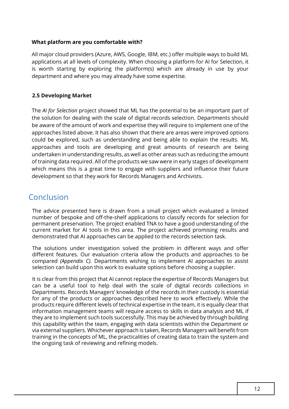#### **What platform are you comfortable with?**

 applications at all levels of complexity. When choosing a platform for AI for Selection, it is worth starting by exploring the platform(s) which are already in use by your All major cloud providers (Azure, AWS, Google, IBM, etc.) offer multiple ways to build ML department and where you may already have some expertise.

#### **2.5 Developing Market**

 The *AI for Selection* project showed that ML has the potential to be an important part of the solution for dealing with the scale of digital records selection. Departments should be aware of the amount of work and expertise they will require to implement one of the approaches listed above. It has also shown that there are areas were improved options could be explored, such as understanding and being able to explain the results. ML undertaken in understanding results, as well as other areas such as reducing the amount of training data required. All of the products we saw were in early stages of development which means this is a great time to engage with suppliers and influence their future development so that they work for Records Managers and Archivists. approaches and tools are developing and great amounts of research are being

### Conclusion

 The advice presented here is drawn from a small project which evaluated a limited number of bespoke and off-the-shelf applications to classify records for selection for permanent preservation. The project enabled TNA to have a good understanding of the current market for AI tools in this area. The project achieved promising results and demonstrated that AI approaches can be applied to the records selection task.

 The solutions under investigation solved the problem in different ways and offer different features. Our evaluation criteria allow the products and approaches to be compared *(Appendix C).* Departments wishing to implement AI approaches to assist selection can build upon this work to evaluate options before choosing a supplier.

 It is clear from this project that AI cannot replace the expertise of Records Managers but for any of the products or approaches described here to work effectively. While the information management teams will require access to skills in data analysis and ML if they are to implement such tools successfully. This may be achieved by through building this capability within the team, engaging with data scientists within the Department or training in the concepts of ML, the practicalities of creating data to train the system and can be a useful tool to help deal with the scale of digital records collections in Departments. Records Managers' knowledge of the records in their custody is essential products require different levels of technical expertise in the team, it is equally clear that via external suppliers. Whichever approach is taken, Records Managers will benefit from the ongoing task of reviewing and refining models.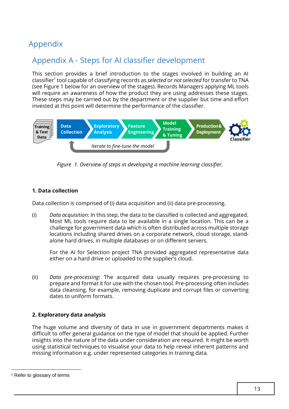# Appendix

# Appendix A - Steps for AI classifier development

 (see Figure 1 below for an overview of the stages). Records Managers applying ML tools will require an awareness of how the product they are using addresses these stages. These steps may be carried out by the department or the supplier but time and effort invested at this point will determine the performance of the classifier. This section provides a brief introduction to the stages involved in building an AI classifier1 tool capable of classifying records as *selected* or *not selected* for transfer to TNA



 *Figure 1. Overview of steps in developing a machine learning classifier.* 

#### **1. Data collection**

Data collection is comprised of (i) data acquisition and (ii) data pre-processing.

 (i) *Data acquisition*: In this step, the data to be classified is collected and aggregated. Most ML tools require data to be available in a single location. This can be a challenge for government data which is often distributed across multiple storage locations including shared drives on a corporate network, cloud storage, standalone hard drives, in multiple databases or on different servers.

 For the AI for Selection project TNA provided aggregated representative data either on a hard drive or uploaded to the supplier's cloud.

(ii) *Data pre-processing*: The acquired data usually requires pre-processing to prepare and format it for use with the chosen tool. Pre-processing often includes data cleansing, for example, removing duplicate and corrupt files or converting dates to uniform formats.

#### **2. Exploratory data analysis**

 insights into the nature of the data under consideration are required. It might be worth using statistical techniques to visualise your data to help reveal inherent patterns and The huge volume and diversity of data in use in government departments makes it difficult to offer general guidance on the type of model that should be applied. Further missing information e.g. under represented categories in training data.

<sup>1</sup> Refer to glossary of terms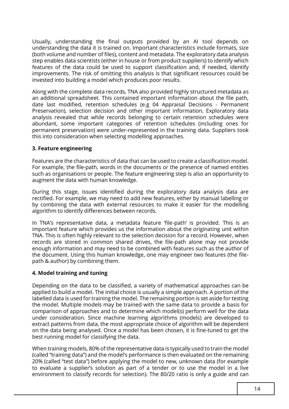Usually, understanding the final outputs provided by an AI tool depends on understanding the data it is trained on. Important characteristics include formats, size (both volume and number of files), content and metadata. The exploratory data analysis step enables data scientists (either in house or from product suppliers) to identify which features of the data could be used to support classification and, if needed, identify improvements. The risk of omitting this analysis is that significant resources could be invested into building a model which produces poor results.

 Along with the complete data records, TNA also provided highly structured metadata as an additional spreadsheet. This contained important information about the file path, date last modified, retention schedules (e.g 04 Appraisal Decisions - Permanent analysis revealed that while records belonging to certain retention schedules were abundant, some important categories of retention schedules (including ones for permanent preservation) were under-represented in the training data. Suppliers took Preservation), selection decision and other important information. Exploratory data this into consideration when selecting modelling approaches.

#### **3. Feature engineering**

augment the data with human knowledge. Features are the characteristics of data that can be used to create a classification model. For example, the file-path, words in the documents or the presence of named entities such as organisations or people. The feature engineering step is also an opportunity to

During this stage, issues identified during the exploratory data analysis data are rectified. For example, we may need to add new features, either by manual labelling or by combining the data with external resources to make it easier for the modelling algorithm to identify differences between records.

 In TNA's representative data, a metadata feature 'file-path' is provided. This is an important feature which provides us the information about the originating unit within TNA. This is often highly relevant to the selection decision for a record. However, when records are stored in common shared drives, the file-path alone may not provide enough information and may need to be combined with features such as the author of the document. Using this human knowledge, one may engineer two features (the filepath & author) by combining them.

#### **4. Model training and tuning**

 Depending on the data to be classified, a variety of mathematical approaches can be applied to build a model. The initial choice is usually a simple approach. A portion of the labelled data is used for training the model. The remaining portion is set aside for testing the model. Multiple models may be trained with the same data to provide a basis for comparison of approaches and to determine which model(s) perform well for the data under consideration. Since machine learning algorithms (models) are developed to extract patterns from data, the most appropriate choice of algorithm will be dependent on the data being analysed. Once a model has been chosen, it is fine-tuned to get the best running model for classifying the data.

 to evaluate a supplier's solution as part of a tender or to use the model in a live environment to classify records for selection). The 80/20 ratio is only a guide and can When training models, 80% of the representative data is typically used to train the model (called "training data") and the model's performance is then evaluated on the remaining 20% (called "test data") before applying the model to new, unknown data (for example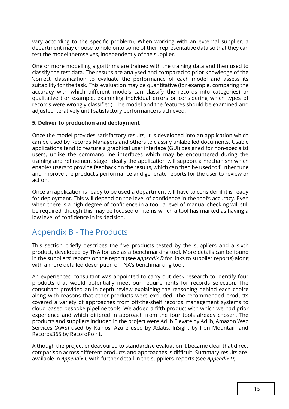test the model themselves, independently of the supplier. vary according to the specific problem). When working with an external supplier, a department may choose to hold onto some of their representative data so that they can

 classify the test data. The results are analysed and compared to prior knowledge of the suitability for the task. This evaluation may be quantitative (for example, comparing the One or more modelling algorithms are trained with the training data and then used to 'correct' classification to evaluate the performance of each model and assess its accuracy with which different models can classify the records into categories) or qualitative (for example, examining individual errors or considering which types of records were wrongly classified). The model and the features should be examined and adjusted iteratively until satisfactory performance is achieved.

#### **5. Deliver to production and deployment**

 users, unlike the command-line interfaces which may be encountered during the Once the model provides satisfactory results, it is developed into an application which can be used by Records Managers and others to classify unlabelled documents. Usable applications tend to feature a graphical user interface (GUI) designed for non-specialist training and refinement stage. Ideally the application will support a mechanism which enables users to provide feedback on the results, which can then be used to further tune and improve the product's performance and generate reports for the user to review or act on.

 Once an application is ready to be used a department will have to consider if it is ready when there is a high degree of confidence in a tool, a level of manual checking will still be required, though this may be focused on items which a tool has marked as having a low level of confidence in its decision. for deployment. This will depend on the level of confidence in the tool's accuracy. Even

### Appendix B - The Products

 This section briefly describes the five products tested by the suppliers and a sixth product, developed by TNA for use as a benchmarking tool. More details can be found in the suppliers' reports on the report (see *Appendix D* for links to supplier reports) along with a more detailed description of TNA's benchmarking tool.

 An experienced consultant was appointed to carry out desk research to identify four products that would potentially meet our requirements for records selection. The along with reasons that other products were excluded. The recommended products covered a variety of approaches from off-the-shelf records management systems to cloud-based bespoke pipeline tools. We added a fifth product with which we had prior experience and which differed in approach from the four tools already chosen. The products and suppliers included in the project were Adlib Elevate by Adlib, Amazon Web Services (AWS) used by Kainos, Azure used by Adatis, InSight by Iron Mountain and Records365 by RecordPoint. consultant provided an in-depth review explaining the reasoning behind each choice

 Although the project endeavoured to standardise evaluation it became clear that direct available in *Appendix C* with further detail in the suppliers' reports (see *Appendix D*). comparison across different products and approaches is difficult. Summary results are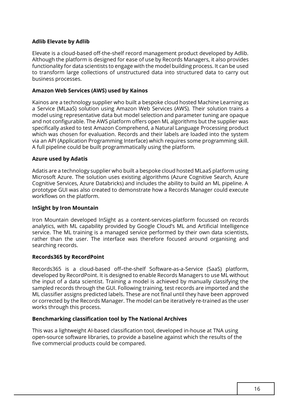#### **Adlib Elevate by Adlib**

Elevate is a cloud-based off-the-shelf record management product developed by Adlib. Although the platform is designed for ease of use by Records Managers, it also provides functionality for data scientists to engage with the model building process. It can be used to transform large collections of unstructured data into structured data to carry out business processes.

#### **Amazon Web Services (AWS) used by Kainos**

 and not configurable. The AWS platform offers open ML algorithms but the supplier was which was chosen for evaluation. Records and their labels are loaded into the system Kainos are a technology supplier who built a bespoke cloud hosted Machine Learning as a Service (MLaaS) solution using Amazon Web Services (AWS). Their solution trains a model using representative data but model selection and parameter tuning are opaque specifically asked to test Amazon Comprehend, a Natural Language Processing product via an API (Application Programming Interface) which requires some programming skill. A full pipeline could be built programmatically using the platform.

#### **Azure used by Adatis**

 Adatis are a technology supplier who built a bespoke cloud hosted MLaaS platform using Microsoft Azure. The solution uses existing algorithms (Azure Cognitive Search, Azure Cognitive Services, Azure Databricks) and includes the ability to build an ML pipeline. A prototype GUI was also created to demonstrate how a Records Manager could execute workflows on the platform.

#### **InSight by Iron Mountain**

Iron Mountain developed InSight as a content-services-platform focussed on records analytics, with ML capability provided by Google Cloud's ML and Artificial Intelligence service. The ML training is a managed service performed by their own data scientists, rather than the user. The interface was therefore focused around organising and searching records.

#### **Records365 by RecordPoint**

Records365 is a cloud-based off–the-shelf Software-as-a-Service (SaaS) platform, developed by RecordPoint. It is designed to enable Records Managers to use ML without the input of a data scientist. Training a model is achieved by manually classifying the sampled records through the GUI. Following training, test records are imported and the ML classifier assigns predicted labels. These are not final until they have been approved or corrected by the Records Manager. The model can be iteratively re-trained as the user works through this process.

#### **Benchmarking classification tool by The National Archives**

 This was a lightweight AI-based classification tool, developed in-house at TNA using open-source software libraries, to provide a baseline against which the results of the five commercial products could be compared.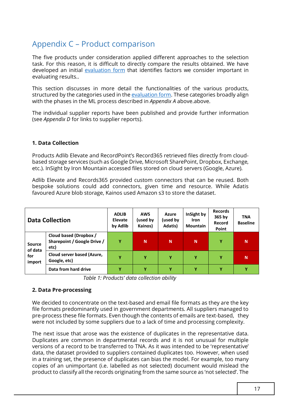# Appendix C – Product comparison

 task. For this reason, it is difficult to directly compare the results obtained. We have The five products under consideration applied different approaches to the selection developed an initial [evaluation form](https://cdn.nationalarchives.gov.uk/documents/ai-for-selection-evaluation-template.xlsx) that identifies factors we consider important in evaluating results..

This section discusses in more detail the functionalities of the various products, structured by the categories used in the [evaluation form.](https://cdn.nationalarchives.gov.uk/documents/ai-for-selection-evaluation-template.xlsx) These categories broadly align with the phases in the ML process described in *Appendix A* above.above.

 (see *Appendix D* for links to supplier reports). The individual supplier reports have been published and provide further information

#### **1. Data Collection**

Products Adlib Elevate and RecordPoint's Record365 retrieved files directly from cloudbased storage services (such as Google Drive, Microsoft SharePoint, Dropbox, Exchange, etc.). InSight by Iron Mountain accessed files stored on cloud servers (Google, Azure).

 favoured Azure blob storage, Kainos used Amazon s3 to store the dataset. Adlib Elevate and Records365 provided custom connectors that can be reused. Both bespoke solutions could add connectors, given time and resource. While Adatis

| <b>Data Collection</b>                    |                                                               | <b>ADLIB</b><br><b>Elevate</b><br>by Adlib | <b>AWS</b><br>(used by<br>Kainos) | <b>Azure</b><br>(used by<br>Adatis) | InSight by<br><b>Iron</b><br><b>Mountain</b> | <b>Records</b><br>365 by<br>Record<br>Point | <b>TNA</b><br><b>Baseline</b> |
|-------------------------------------------|---------------------------------------------------------------|--------------------------------------------|-----------------------------------|-------------------------------------|----------------------------------------------|---------------------------------------------|-------------------------------|
| <b>Source</b><br>of data<br>for<br>import | Cloud based (Dropbox /<br>Sharepoint / Google Drive /<br>etc) | Υ                                          | N                                 | N                                   | N                                            | Υ                                           | N                             |
|                                           | Cloud server based (Azure,<br>Google, etc)                    | γ                                          | Y                                 | Υ                                   | Υ                                            | Y                                           | N                             |
|                                           | Data from hard drive                                          | Υ                                          | Υ                                 | Y                                   | Υ                                            | Y                                           | Y                             |

*Table 1: Products' data collection ability* 

#### **2. Data Pre-processing**

 pre-process these file formats. Even though the contents of emails are text-based, they were not included by some suppliers due to a lack of time and processing complexity. We decided to concentrate on the text-based and email file formats as they are the key file formats predominantly used in government departments. All suppliers managed to

were not included by some suppliers due to a lack of time and processing complexity.<br>The next issue that arose was the existence of duplicates in the representative data. Duplicates are common in departmental records and it is not unusual for multiple versions of a record to be transferred to TNA. As it was intended to be 'representative' data, the dataset provided to suppliers contained duplicates too. However, when used in a training set, the presence of duplicates can bias the model. For example, too many copies of an unimportant (i.e. labelled as not selected) document would mislead the product to classify all the records originating from the same source as 'not selected'. The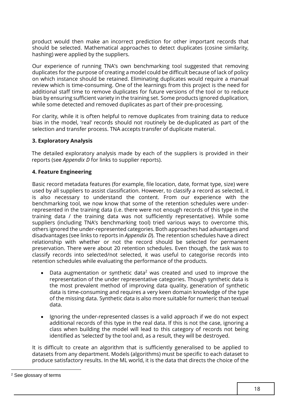product would then make an incorrect prediction for other important records that should be selected. Mathematical approaches to detect duplicates (cosine similarity, hashing) were applied by the suppliers.

 duplicates for the purpose of creating a model could be difficult because of lack of policy additional staff time to remove duplicates for future versions of the tool or to reduce bias by ensuring sufficient variety in the training set. Some products ignored duplication, while some detected and removed duplicates as part of their pre-processing. Our experience of running TNA's own benchmarking tool suggested that removing on which instance should be retained. Eliminating duplicates would require a manual review which is time-consuming. One of the learnings from this project is the need for

 For clarity, while it is of'ten helpful to remove duplicates from training data to reduce bias in the model, 'real' records should not routinely be de-duplicated as part of the selection and transfer process. TNA accepts transfer of duplicate material.

#### **3. Exploratory Analysis**

 The detailed exploratory analysis made by each of the suppliers is provided in their reports (see *Appendix D* for links to supplier reports).

#### **4. Feature Engineering**

 used by all suppliers to assist classification. However, to classify a record as selected, it represented in the training data (i.e. there were not enough records of this type in the training data / the training data was not sufficiently representative). While some disadvantages (see links to reports in *Appendix D*). The retention schedules have a direct preservation. There were about 20 retention schedules. Even though, the task was to classify records into selected/not selected, it was useful to categorise records into retention schedules while evaluating the performance of the products. Basic record metadata features (for example, file location, date, format type, size) were is also necessary to understand the content. From our experience with the benchmarking tool, we now know that some of the retention schedules were undersuppliers (including TNA's benchmarking tool) tried various ways to overcome this, others ignored the under-represented categories. Both approaches had advantages and relationship with whether or not the record should be selected for permanent

- Data augmentation or synthetic data<sup>2</sup> was created and used to improve the representation of the under representative categories. Though synthetic data is the most prevalent method of improving data quality, generation of synthetic data is time-consuming and requires a very keen domain knowledge of the type of the missing data. Synthetic data is also more suitable for numeric than textual data.
- • Ignoring the under-represented classes is a valid approach if we do not expect class when building the model will lead to this category of records not being identified as 'selected' by the tool and, as a result, they will be destroyed. additional records of this type in the real data. If this is not the case, ignoring a

It is difficult to create an algorithm that is sufficiently generalised to be applied to datasets from any department. Models (algorithms) must be specific to each dataset to produce satisfactory results. In the ML world, it is the data that directs the choice of the

<sup>2</sup> See glossary of terms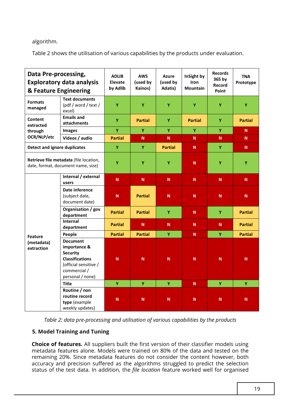#### algorithm.

Table 2 shows the utilisation of various capabilities by the products under evaluation.

| Data Pre-processing,<br><b>Exploratory data analysis</b><br>& Feature Engineering |                                                                                                                                           | <b>ADLIB</b><br><b>Elevate</b><br>by Adlib | <b>AWS</b><br>(used by<br>Kainos) | <b>Azure</b><br>(used by<br>Adatis) | InSight by<br><b>Iron</b><br><b>Mountain</b> | <b>Records</b><br>365 by<br><b>Record</b><br>Point | <b>TNA</b><br>Prototype |
|-----------------------------------------------------------------------------------|-------------------------------------------------------------------------------------------------------------------------------------------|--------------------------------------------|-----------------------------------|-------------------------------------|----------------------------------------------|----------------------------------------------------|-------------------------|
| <b>Formats</b><br>managed                                                         | <b>Text documents</b><br>(pdf / word / text /<br>excel)                                                                                   | Ÿ                                          | Ÿ                                 | Ÿ                                   | Y                                            | Ÿ                                                  | Y                       |
| Content<br>extracted                                                              | <b>Emails and</b><br>attachments                                                                                                          | Ÿ                                          | <b>Partial</b>                    | Ÿ                                   | <b>Partial</b>                               | Ÿ                                                  | <b>Partial</b>          |
| through                                                                           | <b>Images</b>                                                                                                                             | Ÿ                                          | Y                                 | Y                                   | Y                                            | Ÿ                                                  | N.                      |
| OCR/NLP/etc                                                                       | Videos / audio                                                                                                                            | <b>Partial</b>                             | N                                 | N                                   | N                                            | N                                                  | N                       |
| <b>Detect and ignore duplicates</b>                                               |                                                                                                                                           | Ÿ                                          | Y                                 | <b>Partial</b>                      | N.                                           | Ÿ                                                  | ${\bf N}$               |
| Retrieve file metadata (file location,<br>date, format, document name, size)      |                                                                                                                                           | Ÿ                                          | Ÿ                                 | Y                                   | N                                            | Ÿ                                                  | Ÿ                       |
|                                                                                   | Internal / external<br>users                                                                                                              | ${\bf N}$                                  | ${\sf N}$                         | ${\sf N}$                           | ${\sf N}$                                    | N                                                  | ${\bf N}$               |
|                                                                                   | Date inference<br>(subject date,<br>document date)                                                                                        | ${\sf N}$                                  | <b>Partial</b>                    | N                                   | N                                            | N                                                  | ${\bf N}$               |
|                                                                                   | Organisation / gov<br>department                                                                                                          | <b>Partial</b>                             | <b>Partial</b>                    | Y                                   | $\mathbf N$                                  | Y                                                  | <b>Partial</b>          |
|                                                                                   | <b>Internal</b><br>department                                                                                                             | <b>Partial</b>                             | N                                 | N                                   | N                                            | N                                                  | <b>Partial</b>          |
| <b>Feature</b>                                                                    | People                                                                                                                                    | <b>Partial</b>                             | <b>Partial</b>                    | Y                                   | N.                                           | Ÿ                                                  | <b>Partial</b>          |
| (metadata)<br>extraction                                                          | <b>Document</b><br>importance &<br><b>Security</b><br><b>Classifications</b><br>(official sensitive /<br>commercial /<br>personal / none) | ${\bf N}$                                  | ${\bf N}$                         | $\mathsf{N}$                        | $\mathsf{N}$                                 | N                                                  | $\mathsf{N}$            |
|                                                                                   | <b>Title</b>                                                                                                                              | Ÿ                                          | Ÿ                                 | Ÿ                                   | N.                                           | Ÿ                                                  | Ÿ                       |
|                                                                                   | Routine / non<br>routine record<br>type (example<br>weekly updates)                                                                       | ${\bf N}$                                  | ${\sf N}$                         | N                                   | N                                            | $\mathsf{N}$                                       | N                       |

*Table 2: data pre-processing and utilisation of various capabilities by the products* 

#### **5. Model Training and Tuning**

**5. Model Training and Tuning**<br>**Choice of features.** All suppliers built the first version of their classifier models using metadata features alone. Models were trained on 80% of the data and tested on the remaining 20%. Since metadata features do not consider the content however, both accuracy and precision suffered as the algorithms struggled to predict the selection status of the test data. In addition, the *file location* feature worked well for organised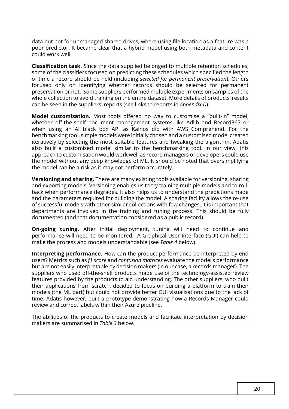data but not for unmanaged shared drives, where using file location as a feature was a poor predictor. It became clear that a hybrid model using both metadata and content could work well.

 of time a record should be held (including *selected for permanent preservation*). Others preservation or not. Some suppliers performed multiple experiments on samples of the can be seen in the suppliers' reports (see links to reports in *Appendix D*). **Classification task.** Since the data supplied belonged to multiple retention schedules, some of the classifiers focused on predicting these schedules which specified the length focused only on identifying whether records should be selected for permanent whole collection to avoid training on the entire dataset. More details of products' results

**Model customisation.** Most tools offered no way to customise a "built-in" model, whether off-the-shelf document management systems like Adlib and Record365 or when using an AI black box API as Kainos did with AWS Comprehend. For the benchmarking tool, simple models were initially chosen and a customised model created iteratively by selecting the most suitable features and tweaking the algorithm. Adatis also built a customised model similar to the benchmarking tool. In our view, this approach to customisation would work well as record managers or developers could use the model without any deep knowledge of ML. It should be noted that oversimplifying the model can be a risk as it may not perform accurately.

 **Versioning and sharing.** There are many existing tools available for versioning, sharing and exporting models. Versioning enables us to try training multiple models and to rollback when performance degrades. It also helps us to understand the predictions made and the parameters required for building the model. A sharing facility allows the re-use of successful models with other similar collections with few changes. It is important that departments are involved in the training and tuning process. This should be fully documented (and that documentation considered as a public record).

 make the process and models understandable (see *Table 4* below). **On-going tuning.** After initial deployment, tuning will need to continue and performance will need to be monitored. A Graphical User Interface (GUI) can help to

 but are not easily interpretable by decision makers (in our case, a records manager). The **Interpreting performance.** How can the product performance be interpreted by end users? Metrics such as *f1 score* and *confusion matrices* evaluate the model's performance suppliers who used off-the-shelf products made use of the technology-assisted review features provided by the products to aid understanding. The other suppliers, who built their applications from scratch, decided to focus on building a platform to train their models (the ML part) but could not provide better GUI visualisations due to the lack of time. Adatis however, built a prototype demonstrating how a Records Manager could review and correct labels within their Azure pipeline.

The abilities of the products to create models and facilitate interpretation by decision makers are summarised in *Table 3* below.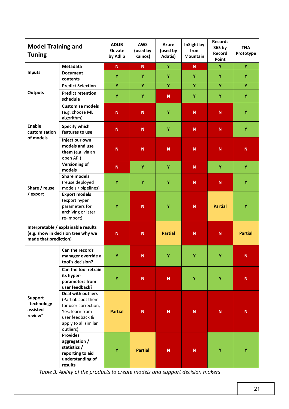| <b>Model Training and</b><br><b>Tuning</b>                                                         |                                                                                                                                                     | <b>ADLIB</b><br><b>Elevate</b><br>by Adlib | <b>AWS</b><br>(used by<br>Kainos) | <b>Azure</b><br>(used by<br>Adatis) | InSight by<br>Iron<br>Mountain | <b>Records</b><br>365 by<br>Record<br>Point | <b>TNA</b><br>Prototype |
|----------------------------------------------------------------------------------------------------|-----------------------------------------------------------------------------------------------------------------------------------------------------|--------------------------------------------|-----------------------------------|-------------------------------------|--------------------------------|---------------------------------------------|-------------------------|
|                                                                                                    | Metadata                                                                                                                                            | ${\sf N}$                                  | ${\bf N}$                         | Y                                   | $\mathbf N$                    | Ÿ                                           | Y                       |
| Inputs                                                                                             | <b>Document</b><br>contents                                                                                                                         | Y                                          | Y                                 | Y                                   | Y                              | Y                                           | Y                       |
|                                                                                                    | <b>Predict Selection</b>                                                                                                                            | Y                                          | Y                                 | Y                                   | Υ                              | Y                                           | Y                       |
| <b>Outputs</b>                                                                                     | <b>Predict retention</b><br>schedule                                                                                                                | Ÿ                                          | Y                                 | $\mathbf N$                         | Y                              | Ÿ                                           | Y                       |
|                                                                                                    | <b>Customise models</b><br>(e.g. choose ML<br>algorithm)                                                                                            | ${\bf N}$                                  | $\mathbf N$                       | Υ                                   | $\mathbf N$                    | $\mathbf N$                                 | Y                       |
| Enable<br>customisation                                                                            | <b>Specify which</b><br>features to use                                                                                                             | ${\bf N}$                                  | $\mathbf N$                       | Y                                   | $\mathsf{N}$                   | ${\sf N}$                                   | Y                       |
| of models                                                                                          | Inject our own<br>models and use<br>them (e.g. via an<br>open API)                                                                                  | $\mathbf N$                                | $\mathbf N$                       | $\mathbf N$                         | N                              | $\mathbf N$                                 | ${\sf N}$               |
|                                                                                                    | <b>Versioning of</b><br>models                                                                                                                      | ${\bf N}$                                  | Y                                 | Y                                   | $\mathbf N$                    | Y                                           | Υ                       |
| Share / reuse                                                                                      | <b>Share models</b><br>(reuse deployed<br>models / pipelines)                                                                                       | Y                                          | Y                                 | Y                                   | $\mathbf N$                    | $\mathbf N$                                 | Y                       |
| / export                                                                                           | <b>Export models</b><br>(export hyper<br>parameters for<br>archiving or later<br>re-import)                                                         | Y                                          | $\mathbf N$                       | Y                                   | $\mathbf N$                    | <b>Partial</b>                              | Y                       |
| Interpretable / explainable results<br>(e.g. show in decision tree why we<br>made that prediction) |                                                                                                                                                     | ${\bf N}$                                  | ${\bf N}$                         | <b>Partial</b>                      | N                              | ${\sf N}$                                   | <b>Partial</b>          |
| <b>Support</b><br>"technology<br>assisted<br>review"                                               | Can the records<br>manager override a<br>tool's decision?                                                                                           | $\mathbf v$                                | ${\sf N}$                         | Y                                   | Υ                              | Y                                           | ${\bf N}$               |
|                                                                                                    | Can the tool retrain<br>its hyper-<br>parameters from<br>user feedback?                                                                             | Y                                          | ${\bf N}$                         | ${\bf N}$                           | Y                              | Y                                           | ${\bf N}$               |
|                                                                                                    | <b>Deal with outliers</b><br>(Partial: spot them<br>for user correction,<br>Yes: learn from<br>user feedback &<br>apply to all similar<br>outliers) | <b>Partial</b>                             | ${\sf N}$                         | ${\bf N}$                           | ${\bf N}$                      | ${\sf N}$                                   | ${\sf N}$               |
|                                                                                                    | <b>Provides</b><br>aggregation /<br>statistics /<br>reporting to aid<br>understanding of<br>results                                                 | Ÿ                                          | <b>Partial</b>                    | $\mathbf N$                         | $\mathbf N$                    | Υ                                           | Ÿ                       |

*Table 3: Ability of the products to create models and support decision makers*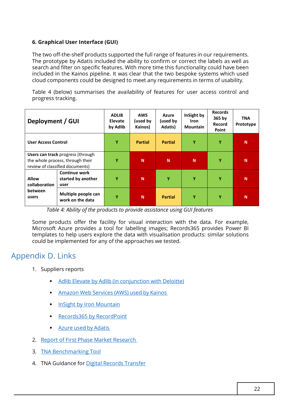#### **6. Graphical User Interface (GUI)**

 The two off-the-shelf products supported the full range of features in our requirements. The prototype by Adatis included the ability to confirm or correct the labels as well as search and filter on specific features. With more time this functionality could have been included in the Kainos pipeline. It was clear that the two bespoke systems which used cloud components could be designed to meet any requirements in terms of usability.

 Table 4 (below) summarises the availability of features for user access control and progress tracking.

| Deployment / GUI                                                                                         |                                                    | <b>ADLIB</b><br><b>Elevate</b><br>by Adlib | <b>AWS</b><br>(used by<br>Kainos) | Azure<br>(used by<br>Adatis) | InSight by<br><b>Iron</b><br><b>Mountain</b> | <b>Records</b><br>365 by<br>Record<br>Point | <b>TNA</b><br>Prototype |
|----------------------------------------------------------------------------------------------------------|----------------------------------------------------|--------------------------------------------|-----------------------------------|------------------------------|----------------------------------------------|---------------------------------------------|-------------------------|
| <b>User Access Control</b>                                                                               |                                                    | Υ                                          | <b>Partial</b>                    | <b>Partial</b>               | Y                                            | Y                                           | N                       |
| Users can track progress (through<br>the whole process, through their<br>review of classified documents) |                                                    | Ÿ                                          | N                                 | N                            | N                                            | Ÿ                                           | N                       |
| <b>Allow</b><br>collaboration<br><b>between</b><br>users                                                 | <b>Continue work</b><br>started by another<br>user | Ÿ                                          | N                                 | Y                            | Υ                                            | Ÿ                                           | N                       |
|                                                                                                          | Multiple people can<br>work on the data            | Υ                                          | N                                 | <b>Partial</b>               | Y                                            | Υ                                           | N                       |

*Table 4: Ability of the products to provide assistance using GUI features* 

Some products offer the facility for visual interaction with the data. For example, Microsoft Azure provides a [tool](https://docs.microsoft.com/en-us/azure/machine-learning/tutorial-labeling) for labelling images; Records365 provides Power BI templates to help users explore the data with visualisation products: similar solutions could be implemented for any of the approaches we tested.

### Appendix D. Links

- 1. Suppliers reports
	- **Adlib Elevate by Adlib (in conjunction with Deloitte)**
	- Amazon Web Services (AWS) used by Kainos
	- **InSight by Iron Mountain**
	- **Records365 by RecordPoint**
	- Azure used by Adatis
- 2. Report of First Phase Market Research
- 3. [TNA Benchmarking Tool](https://cdn.nationalarchives.gov.uk/documents/ai-for-selection-national-archives.pdf)
- 4. TNA Guidance for <u>Digital Records Transfer</u>